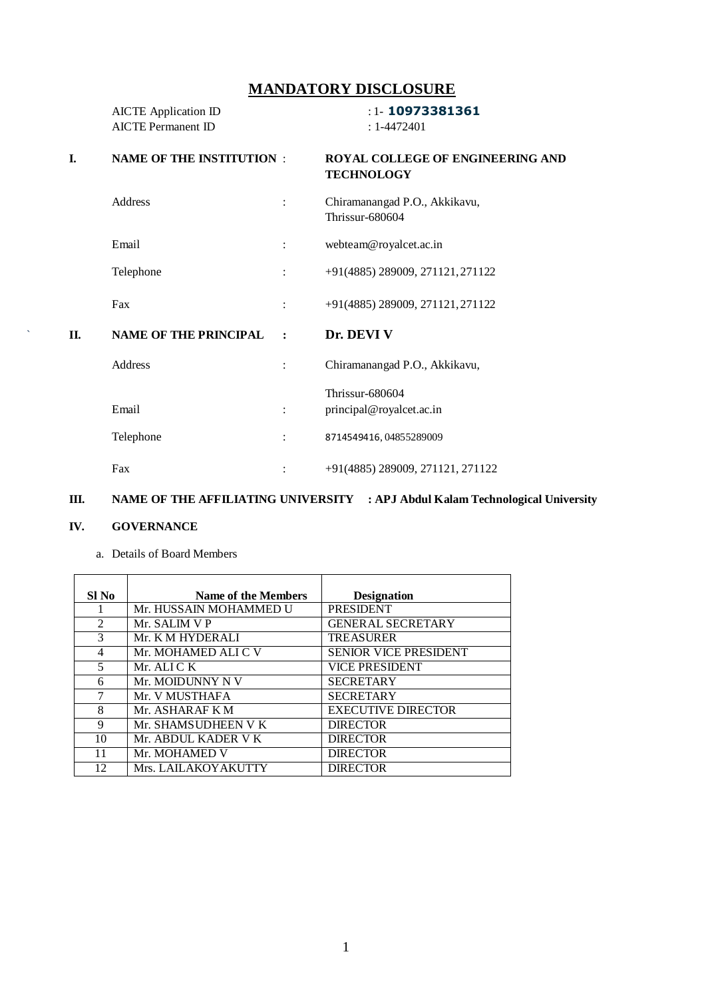# **MANDATORY DISCLOSURE**

|     | <b>AICTE</b> Application ID<br><b>AICTE Permanent ID</b> |                | $:1 - 10973381361$<br>$: 1 - 4472401$                 |
|-----|----------------------------------------------------------|----------------|-------------------------------------------------------|
| I.  | <b>NAME OF THE INSTITUTION :</b>                         |                | ROYAL COLLEGE OF ENGINEERING AND<br><b>TECHNOLOGY</b> |
|     | Address                                                  | $\ddot{\cdot}$ | Chiramanangad P.O., Akkikavu,<br>Thrissur-680604      |
|     | Email                                                    | $\ddot{\cdot}$ | webteam@royalcet.ac.in                                |
|     | Telephone                                                | $\ddot{\cdot}$ | +91(4885) 289009, 271121, 271122                      |
|     | Fax                                                      |                | +91(4885) 289009, 271121, 271122                      |
| II. | <b>NAME OF THE PRINCIPAL</b>                             | $\ddot{\cdot}$ | Dr. DEVI V                                            |
|     | Address                                                  | $\ddot{\cdot}$ | Chiramanangad P.O., Akkikavu,                         |
|     | Email                                                    | $\ddot{\cdot}$ | Thrissur-680604<br>principal@royalcet.ac.in           |
|     | Telephone                                                | $\ddot{\cdot}$ | 8714549416, 04855289009                               |
|     | Fax                                                      | $\ddot{\cdot}$ | +91(4885) 289009, 271121, 271122                      |

# **III. NAME OF THE AFFILIATING UNIVERSITY : APJ Abdul Kalam Technological University**

### **IV. GOVERNANCE**

| SI No | Name of the Members    | <b>Designation</b>           |
|-------|------------------------|------------------------------|
|       | Mr. HUSSAIN MOHAMMED U | <b>PRESIDENT</b>             |
| 2     | Mr. SALIM V P          | <b>GENERAL SECRETARY</b>     |
| 3     | Mr. K M HYDERALI       | <b>TREASURER</b>             |
| 4     | Mr. MOHAMED ALI C V    | <b>SENIOR VICE PRESIDENT</b> |
| 5     | Mr. ALI C K            | <b>VICE PRESIDENT</b>        |
| 6     | Mr. MOIDUNNY N V       | <b>SECRETARY</b>             |
| 7     | Mr. V MUSTHAFA         | <b>SECRETARY</b>             |
| 8     | Mr. ASHARAF K M        | <b>EXECUTIVE DIRECTOR</b>    |
| 9     | Mr. SHAMSUDHEEN V K    | <b>DIRECTOR</b>              |
| 10    | Mr. ABDUL KADER V K    | <b>DIRECTOR</b>              |
| 11    | Mr. MOHAMED V          | <b>DIRECTOR</b>              |
| 12    | Mrs. LAILAKOYAKUTTY    | <b>DIRECTOR</b>              |

a. Details of Board Members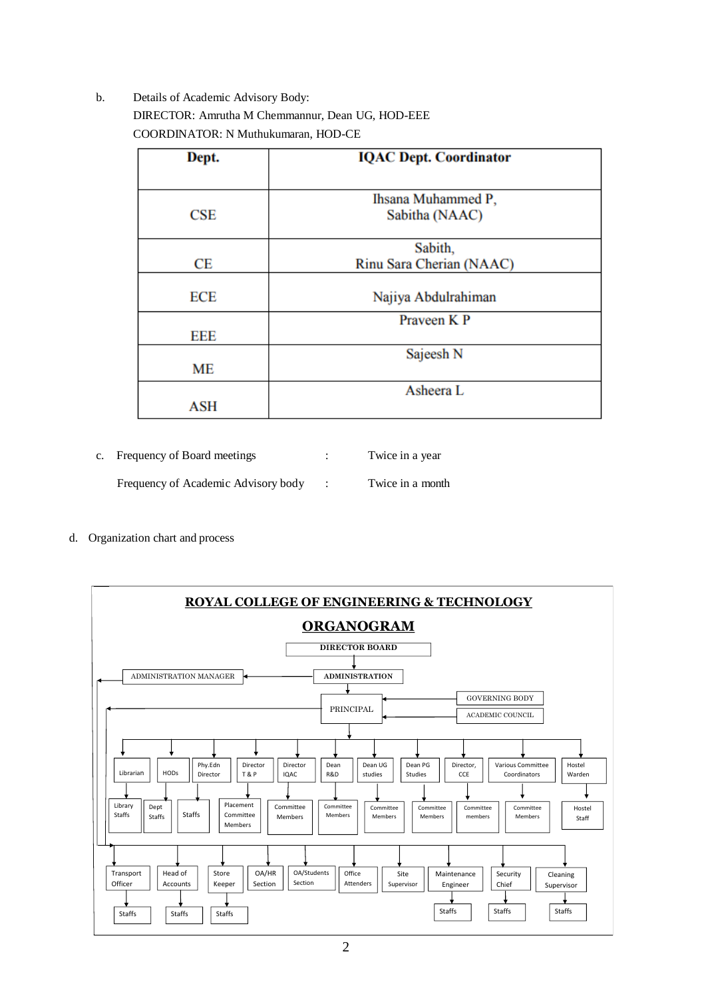b. Details of Academic Advisory Body: DIRECTOR: Amrutha M Chemmannur, Dean UG, HOD-EEE COORDINATOR: N Muthukumaran, HOD-CE

| Dept.      | <b>IQAC Dept. Coordinator</b> |
|------------|-------------------------------|
|            |                               |
| CSE        | Ihsana Muhammed P,            |
|            | Sabitha (NAAC)                |
|            | Sabith,                       |
| СE         | Rinu Sara Cherian (NAAC)      |
| <b>ECE</b> | Najiya Abdulrahiman           |
|            |                               |
|            | Praveen K P                   |
| EEE        |                               |
|            | Sajeesh <sub>N</sub>          |
| <b>ME</b>  |                               |
|            | Asheera L                     |
| ASH        |                               |

| c. Frequency of Board meetings      | Twice in a year  |
|-------------------------------------|------------------|
| Frequency of Academic Advisory body | Twice in a month |

d. Organization chart and process

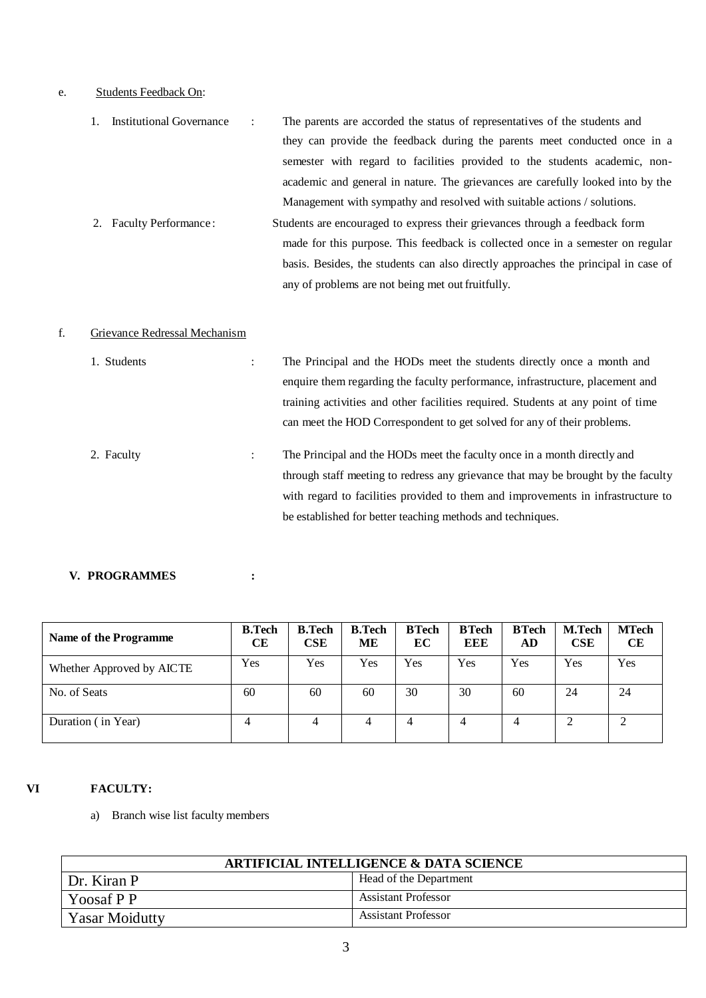# e. Students Feedback On:

| 1. Institutional Governance | The parents are accorded the status of representatives of the students and         |
|-----------------------------|------------------------------------------------------------------------------------|
|                             | they can provide the feedback during the parents meet conducted once in a          |
|                             | semester with regard to facilities provided to the students academic, non-         |
|                             | academic and general in nature. The grievances are carefully looked into by the    |
|                             | Management with sympathy and resolved with suitable actions / solutions.           |
| 2. Faculty Performance:     | Students are encouraged to express their grievances through a feedback form        |
|                             | made for this purpose. This feedback is collected once in a semester on regular    |
|                             | basis. Besides, the students can also directly approaches the principal in case of |
|                             | any of problems are not being met out fruitfully.                                  |

# f. Grievance Redressal Mechanism

| 1. Students |   | The Principal and the HODs meet the students directly once a month and            |
|-------------|---|-----------------------------------------------------------------------------------|
|             |   | enquire them regarding the faculty performance, infrastructure, placement and     |
|             |   | training activities and other facilities required. Students at any point of time  |
|             |   | can meet the HOD Correspondent to get solved for any of their problems.           |
| 2. Faculty  | ÷ | The Principal and the HODs meet the faculty once in a month directly and          |
|             |   | through staff meeting to redress any grievance that may be brought by the faculty |
|             |   | with regard to facilities provided to them and improvements in infrastructure to  |
|             |   | be established for better teaching methods and techniques.                        |

#### **V. PROGRAMMES :**

| Name of the Programme     | <b>B.Tech</b><br><b>CE</b> | <b>B.Tech</b><br><b>CSE</b> | <b>B.Tech</b><br>ME | <b>BTech</b><br>EC | <b>BTech</b><br>EEE | <b>BTech</b><br>AD | <b>M.Tech</b><br>CSE | <b>MTech</b><br>CE |
|---------------------------|----------------------------|-----------------------------|---------------------|--------------------|---------------------|--------------------|----------------------|--------------------|
| Whether Approved by AICTE | Yes                        | Yes                         | <b>Yes</b>          | Yes                | Yes                 | Yes                | Yes                  | Yes                |
| No. of Seats              | 60                         | 60                          | 60                  | 30                 | 30                  | 60                 | 24                   | 24                 |
| Duration (in Year)        | 4                          | 4                           | 4                   | 4                  | $\overline{4}$      | 4                  | ∍                    | ∍                  |

# **VI FACULTY:**

a) Branch wise list faculty members

| <b>ARTIFICIAL INTELLIGENCE &amp; DATA SCIENCE</b> |                            |  |
|---------------------------------------------------|----------------------------|--|
| Dr. Kiran P                                       | Head of the Department     |  |
| Yoosaf P P                                        | <b>Assistant Professor</b> |  |
| <b>Yasar Moidutty</b>                             | <b>Assistant Professor</b> |  |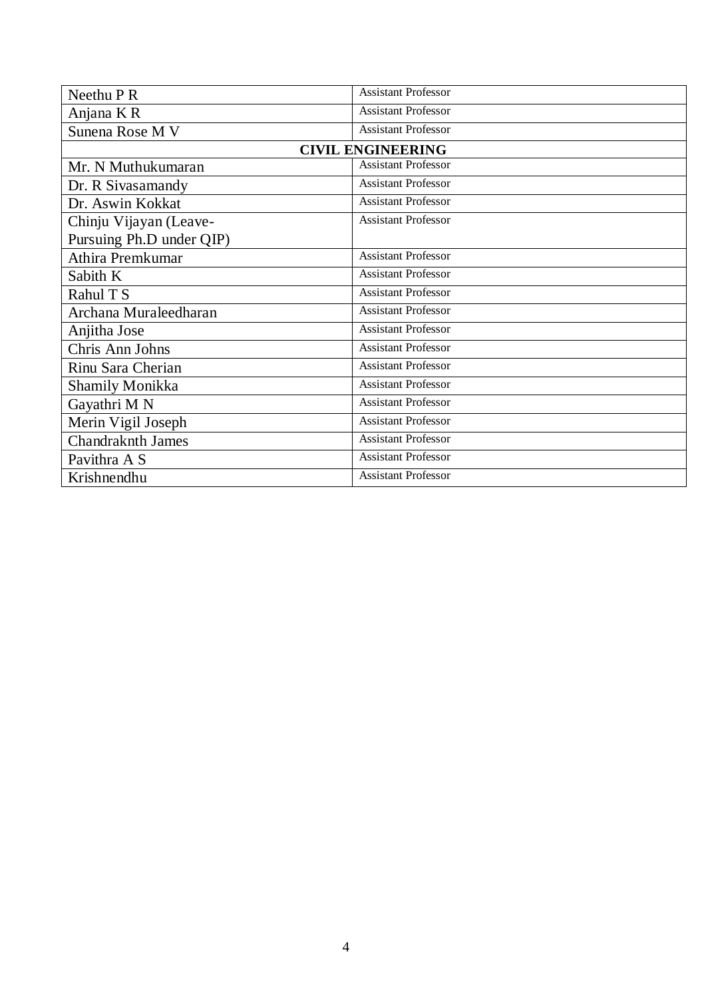| Neethu P R               | <b>Assistant Professor</b> |
|--------------------------|----------------------------|
| Anjana KR                | <b>Assistant Professor</b> |
| Sunena Rose M V          | <b>Assistant Professor</b> |
|                          | <b>CIVIL ENGINEERING</b>   |
| Mr. N Muthukumaran       | <b>Assistant Professor</b> |
| Dr. R Sivasamandy        | <b>Assistant Professor</b> |
| Dr. Aswin Kokkat         | <b>Assistant Professor</b> |
| Chinju Vijayan (Leave-   | <b>Assistant Professor</b> |
| Pursuing Ph.D under QIP) |                            |
| Athira Premkumar         | <b>Assistant Professor</b> |
| Sabith K                 | <b>Assistant Professor</b> |
| Rahul T S                | <b>Assistant Professor</b> |
| Archana Muraleedharan    | <b>Assistant Professor</b> |
| Anjitha Jose             | <b>Assistant Professor</b> |
| Chris Ann Johns          | <b>Assistant Professor</b> |
| Rinu Sara Cherian        | <b>Assistant Professor</b> |
| <b>Shamily Monikka</b>   | <b>Assistant Professor</b> |
| Gayathri M N             | <b>Assistant Professor</b> |
| Merin Vigil Joseph       | <b>Assistant Professor</b> |
| <b>Chandraknth James</b> | <b>Assistant Professor</b> |
| Pavithra A S             | <b>Assistant Professor</b> |
| Krishnendhu              | <b>Assistant Professor</b> |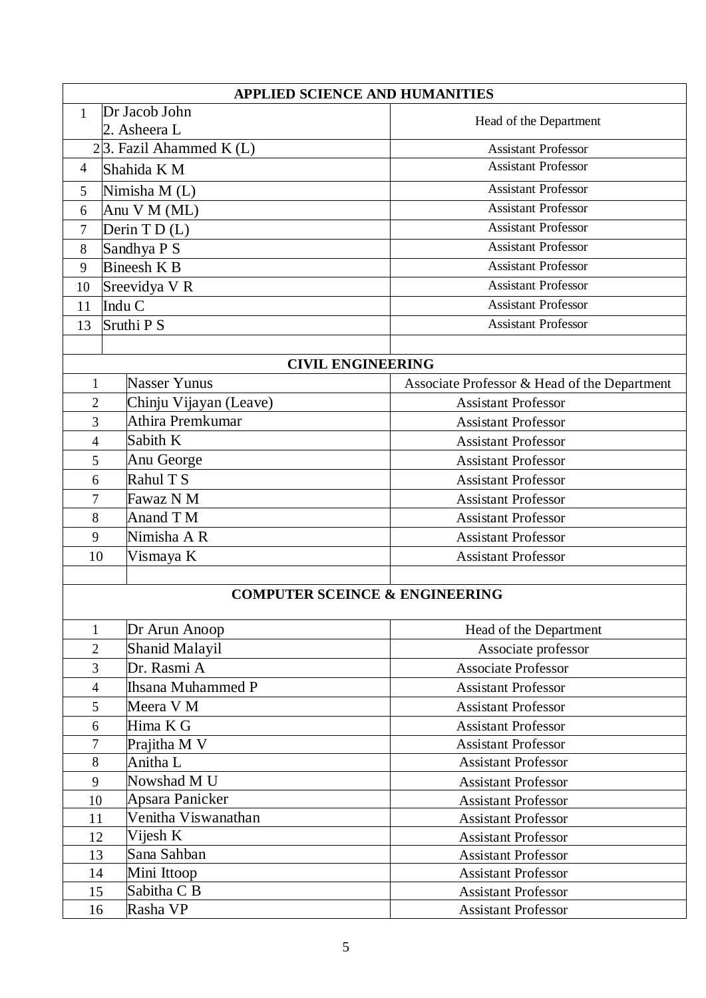|                            | <b>APPLIED SCIENCE AND HUMANITIES</b>     |                                              |  |  |  |
|----------------------------|-------------------------------------------|----------------------------------------------|--|--|--|
| 1                          | Dr Jacob John                             | Head of the Department                       |  |  |  |
|                            | 2. Asheera L                              |                                              |  |  |  |
| $2 3$ . Fazil Ahammed K(L) |                                           | <b>Assistant Professor</b>                   |  |  |  |
| $\overline{4}$             | Shahida K M                               | <b>Assistant Professor</b>                   |  |  |  |
| 5                          | Nimisha M (L)                             | <b>Assistant Professor</b>                   |  |  |  |
| 6                          | Anu V M (ML)                              | <b>Assistant Professor</b>                   |  |  |  |
| 7                          | Derin T D (L)                             | <b>Assistant Professor</b>                   |  |  |  |
| 8                          | Sandhya P S                               | <b>Assistant Professor</b>                   |  |  |  |
| 9                          | Bineesh K B                               | <b>Assistant Professor</b>                   |  |  |  |
| 10                         | Sreevidya V R                             | <b>Assistant Professor</b>                   |  |  |  |
| 11                         | Indu C                                    | <b>Assistant Professor</b>                   |  |  |  |
| 13                         | Sruthi P S                                | <b>Assistant Professor</b>                   |  |  |  |
|                            |                                           |                                              |  |  |  |
|                            | <b>CIVIL ENGINEERING</b>                  |                                              |  |  |  |
| 1                          | Nasser Yunus                              | Associate Professor & Head of the Department |  |  |  |
| $\overline{2}$             | Chinju Vijayan (Leave)                    | <b>Assistant Professor</b>                   |  |  |  |
| 3                          | Athira Premkumar                          | <b>Assistant Professor</b>                   |  |  |  |
| 4                          | Sabith K                                  | <b>Assistant Professor</b>                   |  |  |  |
| 5                          | Anu George                                | <b>Assistant Professor</b>                   |  |  |  |
| 6                          | Rahul T S                                 | <b>Assistant Professor</b>                   |  |  |  |
| 7                          | Fawaz N M                                 | <b>Assistant Professor</b>                   |  |  |  |
| 8                          | Anand T M                                 | <b>Assistant Professor</b>                   |  |  |  |
| 9                          | Nimisha A R                               | <b>Assistant Professor</b>                   |  |  |  |
| 10                         | Vismaya K                                 | <b>Assistant Professor</b>                   |  |  |  |
|                            |                                           |                                              |  |  |  |
|                            | <b>COMPUTER SCEINCE &amp; ENGINEERING</b> |                                              |  |  |  |
| 1                          | Dr Arun Anoop                             | Head of the Department                       |  |  |  |
| $\overline{2}$             | <b>Shanid Malayil</b>                     | Associate professor                          |  |  |  |
| 3                          | Dr. Rasmi A                               | <b>Associate Professor</b>                   |  |  |  |
| $\overline{4}$             | <b>Ihsana Muhammed P</b>                  | <b>Assistant Professor</b>                   |  |  |  |
| 5                          | Meera V M                                 | <b>Assistant Professor</b>                   |  |  |  |
| 6                          | Hima K G                                  | <b>Assistant Professor</b>                   |  |  |  |
| 7                          | Prajitha M V                              | <b>Assistant Professor</b>                   |  |  |  |
| $8\,$                      | Anitha L                                  | <b>Assistant Professor</b>                   |  |  |  |
| 9                          | Nowshad M U                               | <b>Assistant Professor</b>                   |  |  |  |
| 10                         | Apsara Panicker                           | <b>Assistant Professor</b>                   |  |  |  |
| 11                         | Venitha Viswanathan                       | <b>Assistant Professor</b>                   |  |  |  |
| 12                         | Vijesh K                                  | <b>Assistant Professor</b>                   |  |  |  |
| 13                         | Sana Sahban                               | <b>Assistant Professor</b>                   |  |  |  |
| 14                         | Mini Ittoop                               | <b>Assistant Professor</b>                   |  |  |  |
| 15                         | Sabitha C B                               | <b>Assistant Professor</b>                   |  |  |  |
| 16                         | Rasha VP                                  | <b>Assistant Professor</b>                   |  |  |  |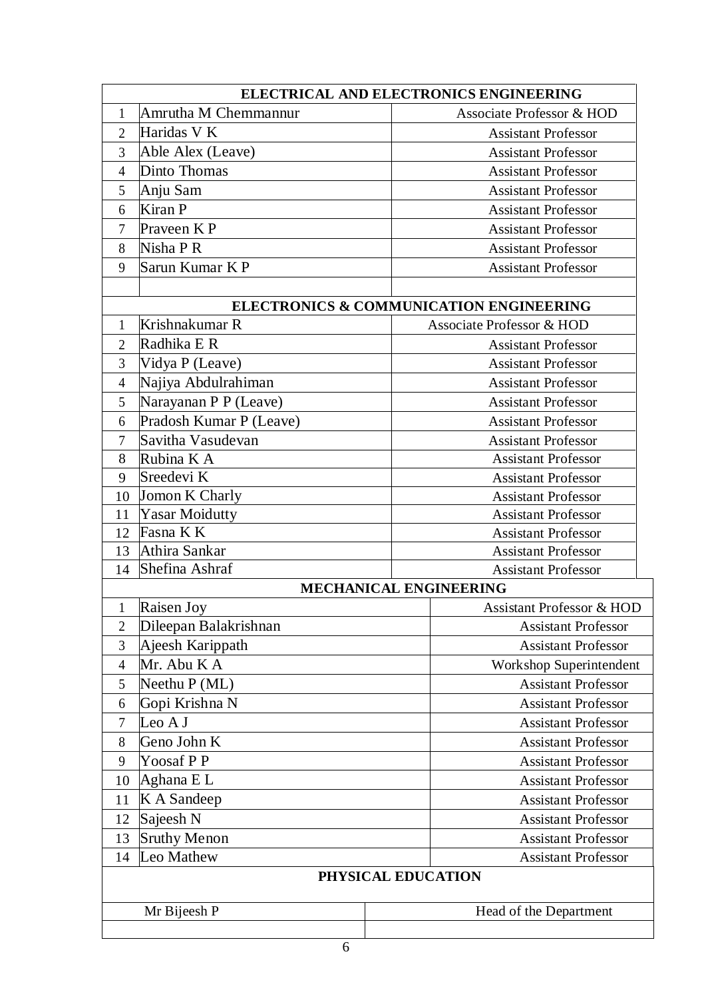|                | ELECTRICAL AND ELECTRONICS ENGINEERING        |                                         |  |  |
|----------------|-----------------------------------------------|-----------------------------------------|--|--|
| 1              | Amrutha M Chemmannur                          | Associate Professor & HOD               |  |  |
| $\overline{2}$ | Haridas V K                                   | <b>Assistant Professor</b>              |  |  |
| 3              | Able Alex (Leave)                             | <b>Assistant Professor</b>              |  |  |
| 4              | Dinto Thomas                                  | <b>Assistant Professor</b>              |  |  |
| 5              | Anju Sam                                      | <b>Assistant Professor</b>              |  |  |
| 6              | Kiran P                                       | <b>Assistant Professor</b>              |  |  |
| 7              | Praveen KP                                    | <b>Assistant Professor</b>              |  |  |
| 8              | Nisha P R                                     | <b>Assistant Professor</b>              |  |  |
| 9              | Sarun Kumar KP                                | <b>Assistant Professor</b>              |  |  |
|                |                                               | ELECTRONICS & COMMUNICATION ENGINEERING |  |  |
| 1              | Krishnakumar R                                | <b>Associate Professor &amp; HOD</b>    |  |  |
| $\overline{2}$ | Radhika E R                                   | <b>Assistant Professor</b>              |  |  |
| 3              | Vidya P (Leave)                               | <b>Assistant Professor</b>              |  |  |
| $\overline{4}$ | Najiya Abdulrahiman                           | <b>Assistant Professor</b>              |  |  |
| 5              | Narayanan P P (Leave)                         | <b>Assistant Professor</b>              |  |  |
| 6              | Pradosh Kumar P (Leave)                       | <b>Assistant Professor</b>              |  |  |
| 7              | Savitha Vasudevan                             | <b>Assistant Professor</b>              |  |  |
| 8              | Rubina K A                                    | <b>Assistant Professor</b>              |  |  |
| 9              | Sreedevi K                                    | <b>Assistant Professor</b>              |  |  |
| 10             | Jomon K Charly                                | <b>Assistant Professor</b>              |  |  |
| 11             | <b>Yasar Moidutty</b>                         | <b>Assistant Professor</b>              |  |  |
| 12             | Fasna K K                                     | <b>Assistant Professor</b>              |  |  |
| 13             | Athira Sankar<br><b>Assistant Professor</b>   |                                         |  |  |
| 14             | Shefina Ashraf                                | <b>Assistant Professor</b>              |  |  |
|                |                                               | <b>MECHANICAL ENGINEERING</b>           |  |  |
| 1              | <b>Raisen Joy</b>                             | <b>Assistant Professor &amp; HOD</b>    |  |  |
| $\overline{2}$ | Dileepan Balakrishnan                         | <b>Assistant Professor</b>              |  |  |
| 3              | Ajeesh Karippath                              | <b>Assistant Professor</b>              |  |  |
| $\overline{4}$ | Mr. Abu K A                                   | Workshop Superintendent                 |  |  |
| 5              | Neethu $P(ML)$                                | <b>Assistant Professor</b>              |  |  |
| 6              | Gopi Krishna N                                | <b>Assistant Professor</b>              |  |  |
| 7              | Leo A J                                       | <b>Assistant Professor</b>              |  |  |
| 8              | Geno John K                                   | <b>Assistant Professor</b>              |  |  |
|                | Yoosaf P P<br>9<br><b>Assistant Professor</b> |                                         |  |  |
| 10             | Aghana EL<br><b>Assistant Professor</b>       |                                         |  |  |
| 11             | K A Sandeep                                   | <b>Assistant Professor</b>              |  |  |
| 12             | Sajeesh N                                     | <b>Assistant Professor</b>              |  |  |
| 13             | <b>Sruthy Menon</b>                           | <b>Assistant Professor</b>              |  |  |
| 14             | Leo Mathew                                    | <b>Assistant Professor</b>              |  |  |
|                |                                               | PHYSICAL EDUCATION                      |  |  |
|                | Mr Bijeesh P                                  | Head of the Department                  |  |  |
|                |                                               |                                         |  |  |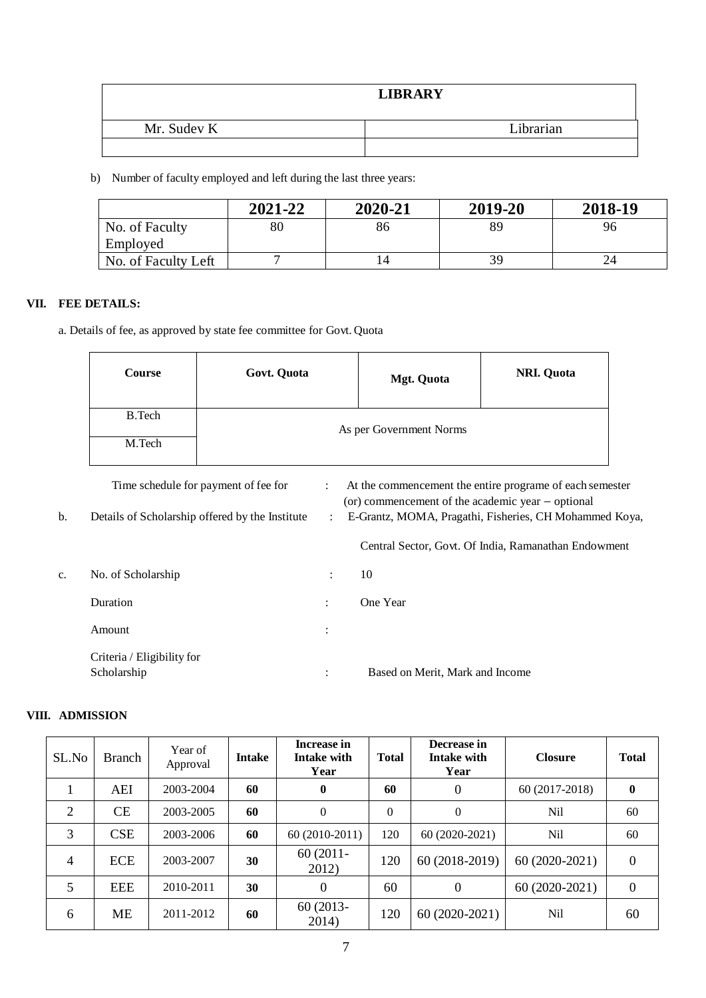|             | <b>LIBRARY</b> |
|-------------|----------------|
| Mr. Sudev K | Librarian      |
|             |                |

b) Number of faculty employed and left during the last three years:

|                     | 2021-22 | 2020-21 | 2019-20 | 2018-19 |
|---------------------|---------|---------|---------|---------|
| No. of Faculty      | 80      | 86      | 89      | 96      |
| Employed            |         |         |         |         |
| No. of Faculty Left |         |         | 39      | 24      |

## **VII. FEE DETAILS:**

a. Details of fee, as approved by state fee committee for Govt. Quota

|    | <b>Course</b> | Govt. Quota                                                                             |                                                   | <b>Mgt. Quota</b>                                                                                                                                                       | <b>NRI. Quota</b>                                    |  |  |  |
|----|---------------|-----------------------------------------------------------------------------------------|---------------------------------------------------|-------------------------------------------------------------------------------------------------------------------------------------------------------------------------|------------------------------------------------------|--|--|--|
|    | B.Tech        |                                                                                         |                                                   | As per Government Norms                                                                                                                                                 |                                                      |  |  |  |
| b. | M.Tech        | Time schedule for payment of fee for<br>Details of Scholarship offered by the Institute | $\ddot{\phantom{0}}$<br>$\mathbb{Z}^{\mathbb{Z}}$ | At the commencement the entire programe of each semester<br>(or) commencement of the academic year – optional<br>E-Grantz, MOMA, Pragathi, Fisheries, CH Mohammed Koya, |                                                      |  |  |  |
|    |               |                                                                                         |                                                   |                                                                                                                                                                         | Central Sector, Govt. Of India, Ramanathan Endowment |  |  |  |

| c. | No. of Scholarship                        | $\ddot{\phantom{a}}$ | 10                              |
|----|-------------------------------------------|----------------------|---------------------------------|
|    | Duration                                  | $\ddot{\phantom{a}}$ | One Year                        |
|    | Amount                                    | $\ddot{\cdot}$       |                                 |
|    | Criteria / Eligibility for<br>Scholarship | $\ddot{\cdot}$       | Based on Merit, Mark and Income |

# **VIII. ADMISSION**

| SL.No          | <b>Branch</b> | Year of<br>Approval | <b>Intake</b> | Increase in<br><b>Intake with</b><br>Year | <b>Total</b>   | Decrease in<br>Intake with<br>Year | <b>Closure</b> | <b>Total</b>     |
|----------------|---------------|---------------------|---------------|-------------------------------------------|----------------|------------------------------------|----------------|------------------|
| 1              | AEI           | 2003-2004           | 60            | $\bf{0}$                                  | 60             | $\overline{0}$                     | 60 (2017-2018) | $\bf{0}$         |
| 2              | <b>CE</b>     | 2003-2005           | 60            | $\mathbf{0}$                              | $\overline{0}$ | $\overline{0}$                     | Nil            | 60               |
| 3              | <b>CSE</b>    | 2003-2006           | 60            | 60 (2010-2011)                            | 120            | 60 (2020-2021)                     | Nil            | 60               |
| $\overline{4}$ | <b>ECE</b>    | 2003-2007           | 30            | $60(2011 -$<br>2012)                      | 120            | 60 (2018-2019)                     | 60 (2020-2021) | $\boldsymbol{0}$ |
| 5              | EEE           | 2010-2011           | 30            | $\Omega$                                  | 60             | $\boldsymbol{0}$                   | 60 (2020-2021) | $\boldsymbol{0}$ |
| 6              | ME            | 2011-2012           | 60            | 60 (2013-<br>2014)                        | 120            | 60 (2020-2021)                     | Nil            | 60               |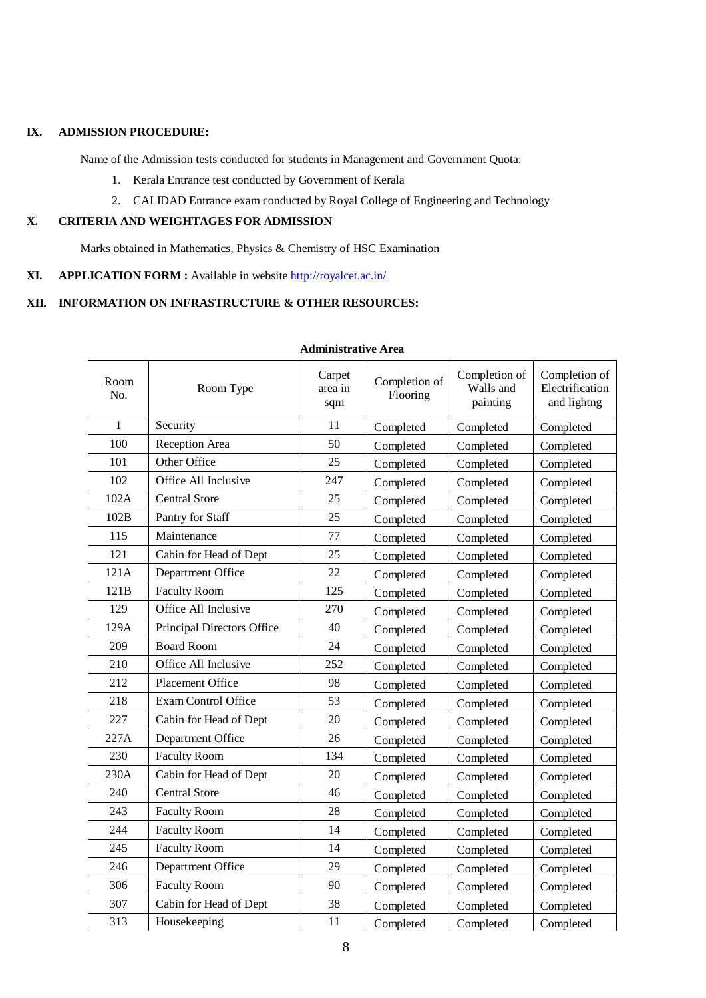#### **IX. ADMISSION PROCEDURE:**

Name of the Admission tests conducted for students in Management and Government Quota:

- 1. Kerala Entrance test conducted by Government of Kerala
- 2. CALIDAD Entrance exam conducted by Royal College of Engineering and Technology

### **X. CRITERIA AND WEIGHTAGES FOR ADMISSION**

Marks obtained in Mathematics, Physics & Chemistry of HSC Examination

## **XI. APPLICATION FORM :** Available in website<http://royalcet.ac.in/>

## **XII. INFORMATION ON INFRASTRUCTURE & OTHER RESOURCES:**

| Room<br>No.  | Room Type                  | Carpet<br>area in<br>sqm | Completion of<br>Flooring | Completion of<br>Walls and<br>painting | Completion of<br>Electrification<br>and lightng |
|--------------|----------------------------|--------------------------|---------------------------|----------------------------------------|-------------------------------------------------|
| $\mathbf{1}$ | Security                   | 11                       | Completed                 | Completed                              | Completed                                       |
| 100          | Reception Area             | 50                       | Completed                 | Completed                              | Completed                                       |
| 101          | Other Office               | 25                       | Completed                 | Completed                              | Completed                                       |
| 102          | Office All Inclusive       | 247                      | Completed                 | Completed                              | Completed                                       |
| 102A         | <b>Central Store</b>       | 25                       | Completed                 | Completed                              | Completed                                       |
| 102B         | Pantry for Staff           | 25                       | Completed                 | Completed                              | Completed                                       |
| 115          | Maintenance                | 77                       | Completed                 | Completed                              | Completed                                       |
| 121          | Cabin for Head of Dept     | 25                       | Completed                 | Completed                              | Completed                                       |
| 121A         | Department Office          | 22                       | Completed                 | Completed                              | Completed                                       |
| 121B         | <b>Faculty Room</b>        | 125                      | Completed                 | Completed                              | Completed                                       |
| 129          | Office All Inclusive       | 270                      | Completed                 | Completed                              | Completed                                       |
| 129A         | Principal Directors Office | 40                       | Completed                 | Completed                              | Completed                                       |
| 209          | <b>Board Room</b>          | 24                       | Completed                 | Completed                              | Completed                                       |
| 210          | Office All Inclusive       | 252                      | Completed                 | Completed                              | Completed                                       |
| 212          | <b>Placement Office</b>    | 98                       | Completed                 | Completed                              | Completed                                       |
| 218          | <b>Exam Control Office</b> | 53                       | Completed                 | Completed                              | Completed                                       |
| 227          | Cabin for Head of Dept     | 20                       | Completed                 | Completed                              | Completed                                       |
| 227A         | Department Office          | 26                       | Completed                 | Completed                              | Completed                                       |
| 230          | <b>Faculty Room</b>        | 134                      | Completed                 | Completed                              | Completed                                       |
| 230A         | Cabin for Head of Dept     | 20                       | Completed                 | Completed                              | Completed                                       |
| 240          | <b>Central Store</b>       | 46                       | Completed                 | Completed                              | Completed                                       |
| 243          | <b>Faculty Room</b>        | 28                       | Completed                 | Completed                              | Completed                                       |
| 244          | <b>Faculty Room</b>        | 14                       | Completed                 | Completed                              | Completed                                       |
| 245          | <b>Faculty Room</b>        | 14                       | Completed                 | Completed                              | Completed                                       |
| 246          | Department Office          | 29                       | Completed                 | Completed                              | Completed                                       |
| 306          | <b>Faculty Room</b>        | 90                       | Completed                 | Completed                              | Completed                                       |
| 307          | Cabin for Head of Dept     | 38                       | Completed                 | Completed                              | Completed                                       |
| 313          | Housekeeping               | 11                       | Completed                 | Completed                              | Completed                                       |

# **Administrative Area**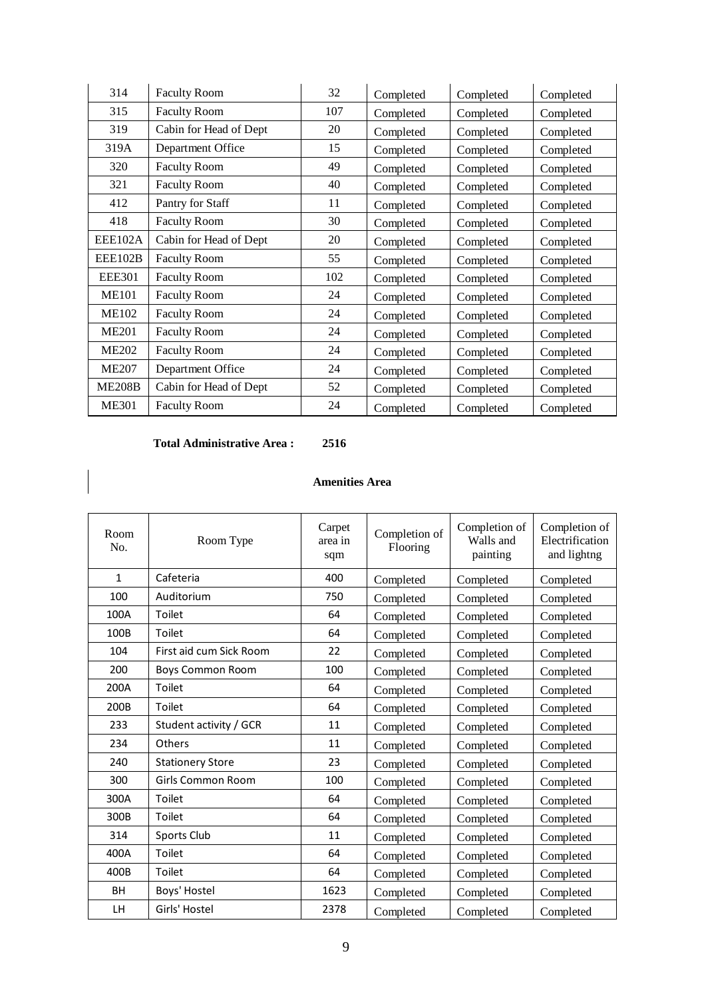| 314           | <b>Faculty Room</b>    | 32  | Completed | Completed | Completed |
|---------------|------------------------|-----|-----------|-----------|-----------|
| 315           | <b>Faculty Room</b>    | 107 | Completed | Completed | Completed |
| 319           | Cabin for Head of Dept | 20  | Completed | Completed | Completed |
| 319A          | Department Office      | 15  | Completed | Completed | Completed |
| 320           | <b>Faculty Room</b>    | 49  | Completed | Completed | Completed |
| 321           | <b>Faculty Room</b>    | 40  | Completed | Completed | Completed |
| 412           | Pantry for Staff       | 11  | Completed | Completed | Completed |
| 418           | <b>Faculty Room</b>    | 30  | Completed | Completed | Completed |
| EEE102A       | Cabin for Head of Dept | 20  | Completed | Completed | Completed |
| EEE102B       | <b>Faculty Room</b>    | 55  | Completed | Completed | Completed |
| <b>EEE301</b> | <b>Faculty Room</b>    | 102 | Completed | Completed | Completed |
| <b>ME101</b>  | <b>Faculty Room</b>    | 24  | Completed | Completed | Completed |
| <b>ME102</b>  | <b>Faculty Room</b>    | 24  | Completed | Completed | Completed |
| <b>ME201</b>  | <b>Faculty Room</b>    | 24  | Completed | Completed | Completed |
| <b>ME202</b>  | <b>Faculty Room</b>    | 24  | Completed | Completed | Completed |
| <b>ME207</b>  | Department Office      | 24  | Completed | Completed | Completed |
| <b>ME208B</b> | Cabin for Head of Dept | 52  | Completed | Completed | Completed |
| <b>ME301</b>  | <b>Faculty Room</b>    | 24  | Completed | Completed | Completed |

### **Total Administrative Area : 2516**

 $\overline{1}$  $\overline{\phantom{a}}$ 

#### **Amenities Area**

| Room<br>No.  | Room Type               | Carpet<br>area in<br>sqm | Completion of<br>Flooring | Completion of<br>Walls and<br>painting | Completion of<br>Electrification<br>and lightng |
|--------------|-------------------------|--------------------------|---------------------------|----------------------------------------|-------------------------------------------------|
| $\mathbf{1}$ | Cafeteria               | 400                      | Completed                 | Completed                              | Completed                                       |
| 100          | Auditorium              | 750                      | Completed                 | Completed                              | Completed                                       |
| 100A         | Toilet                  | 64                       | Completed                 | Completed                              | Completed                                       |
| 100B         | Toilet                  | 64                       | Completed                 | Completed                              | Completed                                       |
| 104          | First aid cum Sick Room | 22                       | Completed                 | Completed                              | Completed                                       |
| 200          | <b>Boys Common Room</b> | 100                      | Completed                 | Completed                              | Completed                                       |
| 200A         | Toilet                  | 64                       | Completed                 | Completed                              | Completed                                       |
| 200B         | Toilet                  | 64                       | Completed                 | Completed                              | Completed                                       |
| 233          | Student activity / GCR  | 11                       | Completed                 | Completed                              | Completed                                       |
| 234          | Others                  | 11                       | Completed                 | Completed                              | Completed                                       |
| 240          | <b>Stationery Store</b> | 23                       | Completed                 | Completed                              | Completed                                       |
| 300          | Girls Common Room       | 100                      | Completed                 | Completed                              | Completed                                       |
| 300A         | Toilet                  | 64                       | Completed                 | Completed                              | Completed                                       |
| 300B         | Toilet                  | 64                       | Completed                 | Completed                              | Completed                                       |
| 314          | Sports Club             | 11                       | Completed                 | Completed                              | Completed                                       |
| 400A         | Toilet                  | 64                       | Completed                 | Completed                              | Completed                                       |
| 400B         | Toilet                  | 64                       | Completed                 | Completed                              | Completed                                       |
| <b>BH</b>    | Boys' Hostel            | 1623                     | Completed                 | Completed                              | Completed                                       |
| <b>LH</b>    | Girls' Hostel           | 2378                     | Completed                 | Completed                              | Completed                                       |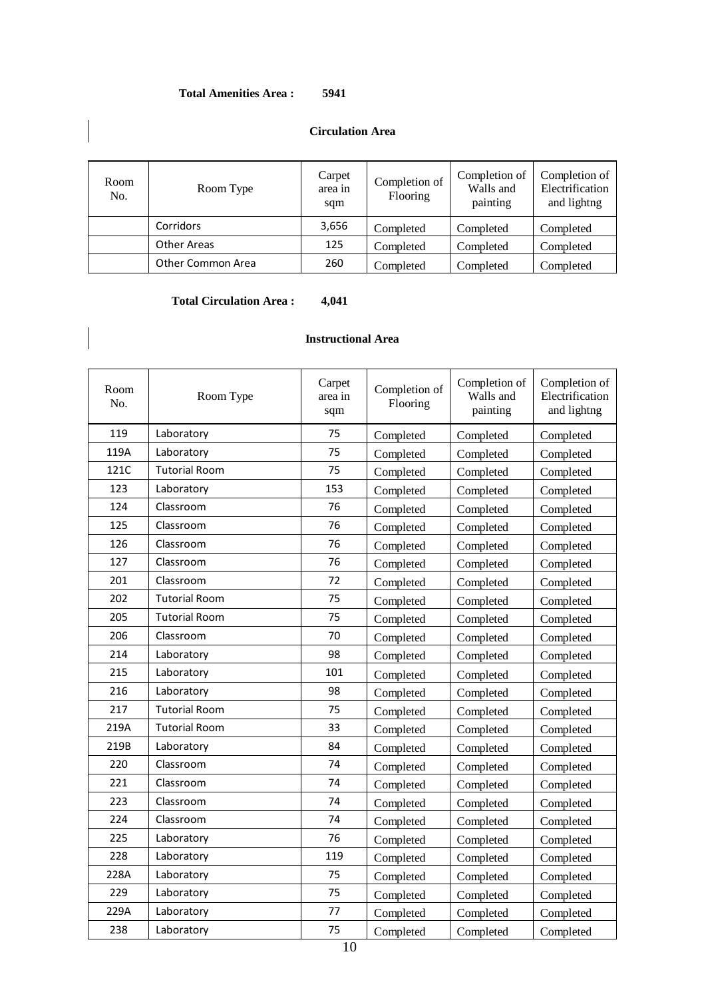### **Total Amenities Area : 5941**

#### **Circulation Area**

| Room<br>No. | Room Type          | Carpet<br>area in<br>sqm | Completion of<br>Flooring | Completion of<br>Walls and<br>painting | Completion of<br>Electrification<br>and lightng |
|-------------|--------------------|--------------------------|---------------------------|----------------------------------------|-------------------------------------------------|
|             | Corridors          | 3,656                    | Completed                 | Completed                              | Completed                                       |
|             | <b>Other Areas</b> | 125                      | Completed                 | Completed                              | Completed                                       |
|             | Other Common Area  | 260                      | Completed                 | Completed                              | Completed                                       |

## **Total Circulation Area : 4,041**

| Room<br>No. | Room Type            | Carpet<br>area in<br>sqm | Completion of<br>Flooring | Completion of<br>Walls and<br>painting | Completion of<br>Electrification<br>and lightng |
|-------------|----------------------|--------------------------|---------------------------|----------------------------------------|-------------------------------------------------|
| 119         | Laboratory           | 75                       | Completed                 | Completed                              | Completed                                       |
| 119A        | Laboratory           | 75                       | Completed                 | Completed                              | Completed                                       |
| 121C        | <b>Tutorial Room</b> | 75                       | Completed                 | Completed                              | Completed                                       |
| 123         | Laboratory           | 153                      | Completed                 | Completed                              | Completed                                       |
| 124         | Classroom            | 76                       | Completed                 | Completed                              | Completed                                       |
| 125         | Classroom            | 76                       | Completed                 | Completed                              | Completed                                       |
| 126         | Classroom            | 76                       | Completed                 | Completed                              | Completed                                       |
| 127         | Classroom            | 76                       | Completed                 | Completed                              | Completed                                       |
| 201         | Classroom            | 72                       | Completed                 | Completed                              | Completed                                       |
| 202         | <b>Tutorial Room</b> | 75                       | Completed                 | Completed                              | Completed                                       |
| 205         | <b>Tutorial Room</b> | 75                       | Completed                 | Completed                              | Completed                                       |
| 206         | Classroom            | 70                       | Completed                 | Completed                              | Completed                                       |
| 214         | Laboratory           | 98                       | Completed                 | Completed                              | Completed                                       |
| 215         | Laboratory           | 101                      | Completed                 | Completed                              | Completed                                       |
| 216         | Laboratory           | 98                       | Completed                 | Completed                              | Completed                                       |
| 217         | <b>Tutorial Room</b> | 75                       | Completed                 | Completed                              | Completed                                       |
| 219A        | <b>Tutorial Room</b> | 33                       | Completed                 | Completed                              | Completed                                       |
| 219B        | Laboratory           | 84                       | Completed                 | Completed                              | Completed                                       |
| 220         | Classroom            | 74                       | Completed                 | Completed                              | Completed                                       |
| 221         | Classroom            | 74                       | Completed                 | Completed                              | Completed                                       |
| 223         | Classroom            | 74                       | Completed                 | Completed                              | Completed                                       |
| 224         | Classroom            | 74                       | Completed                 | Completed                              | Completed                                       |
| 225         | Laboratory           | 76                       | Completed                 | Completed                              | Completed                                       |
| 228         | Laboratory           | 119                      | Completed                 | Completed                              | Completed                                       |
| 228A        | Laboratory           | 75                       | Completed                 | Completed                              | Completed                                       |
| 229         | Laboratory           | 75                       | Completed                 | Completed                              | Completed                                       |
| 229A        | Laboratory           | 77                       | Completed                 | Completed                              | Completed                                       |
| 238         | Laboratory           | 75                       | Completed                 | Completed                              | Completed                                       |

## **Instructional Area**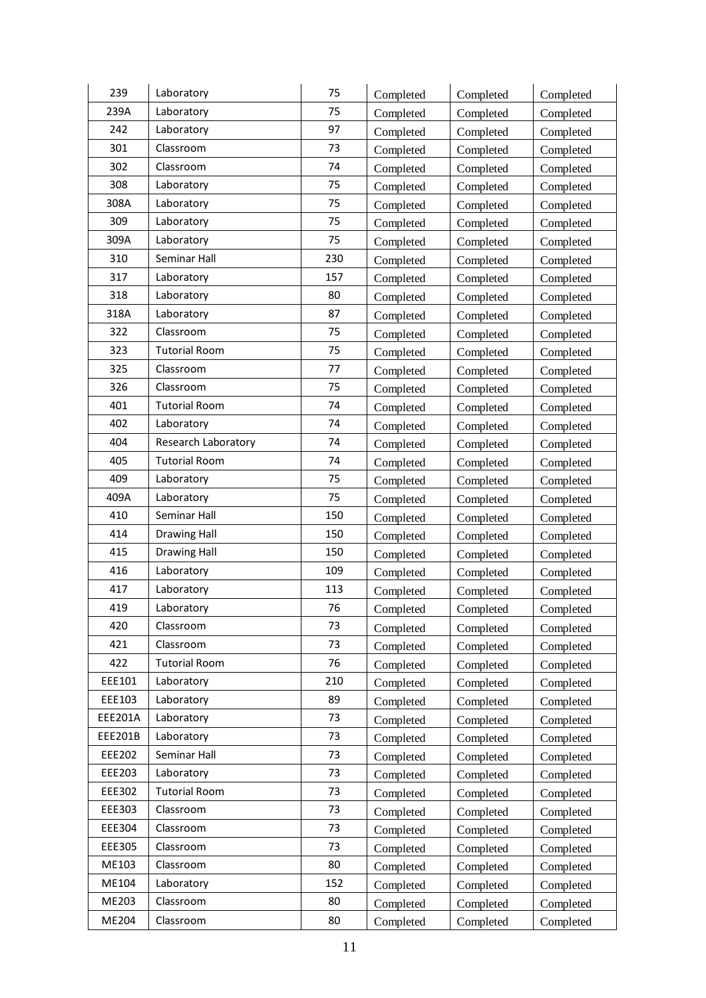| 239            | Laboratory           | 75  |                        |                        |           |
|----------------|----------------------|-----|------------------------|------------------------|-----------|
| 239A           | Laboratory           | 75  | Completed              | Completed              | Completed |
| 242            |                      | 97  | Completed              | Completed              | Completed |
|                | Laboratory           |     | Completed              | Completed              | Completed |
| 301            | Classroom            | 73  | Completed              | Completed              | Completed |
| 302            | Classroom            | 74  | Completed              | Completed              | Completed |
| 308            | Laboratory           | 75  | Completed              | Completed              | Completed |
| 308A           | Laboratory           | 75  | Completed              | Completed              | Completed |
| 309            | Laboratory           | 75  | Completed              | Completed              | Completed |
| 309A           | Laboratory           | 75  | Completed              | Completed              | Completed |
| 310            | Seminar Hall         | 230 | Completed              | Completed              | Completed |
| 317            | Laboratory           | 157 | Completed              | Completed              | Completed |
| 318            | Laboratory           | 80  | Completed              | Completed              | Completed |
| 318A           | Laboratory           | 87  | Completed              | Completed              | Completed |
| 322            | Classroom            | 75  | Completed              | Completed              | Completed |
| 323            | <b>Tutorial Room</b> | 75  | Completed              | Completed              | Completed |
| 325            | Classroom            | 77  | Completed              | Completed              | Completed |
| 326            | Classroom            | 75  | Completed              | Completed              | Completed |
| 401            | <b>Tutorial Room</b> | 74  | Completed              | Completed              | Completed |
| 402            | Laboratory           | 74  | Completed              | Completed              | Completed |
| 404            | Research Laboratory  | 74  | Completed              | Completed              | Completed |
| 405            | <b>Tutorial Room</b> | 74  | Completed              | Completed              | Completed |
| 409            | Laboratory           | 75  | Completed              | Completed              | Completed |
| 409A           | Laboratory           | 75  | Completed              | Completed              | Completed |
| 410            | Seminar Hall         | 150 | Completed              | Completed              | Completed |
| 414            | <b>Drawing Hall</b>  | 150 | Completed              | Completed              | Completed |
| 415            | <b>Drawing Hall</b>  | 150 | Completed              | Completed              | Completed |
| 416            | Laboratory           | 109 | Completed              | Completed              | Completed |
| 417            | Laboratory           | 113 | Completed              | Completed              | Completed |
| 419            | Laboratory           | 76  | Completed              | Completed              | Completed |
| 420            | Classroom            | 73  | Completed              | Completed              | Completed |
| 421            | Classroom            | 73  | Completed              | Completed              | Completed |
| 422            | <b>Tutorial Room</b> | 76  | Completed              | Completed              | Completed |
| EEE101         | Laboratory           | 210 |                        |                        | Completed |
| EEE103         | Laboratory           | 89  | Completed<br>Completed | Completed<br>Completed | Completed |
| EEE201A        | Laboratory           | 73  | Completed              | Completed              | Completed |
| <b>EEE201B</b> | Laboratory           | 73  |                        |                        |           |
| EEE202         | Seminar Hall         | 73  | Completed              | Completed              | Completed |
| EEE203         |                      |     | Completed              | Completed              | Completed |
|                | Laboratory           | 73  | Completed              | Completed              | Completed |
| EEE302         | <b>Tutorial Room</b> | 73  | Completed              | Completed              | Completed |
| EEE303         | Classroom            | 73  | Completed              | Completed              | Completed |
| EEE304         | Classroom            | 73  | Completed              | Completed              | Completed |
| EEE305         | Classroom            | 73  | Completed              | Completed              | Completed |
| ME103          | Classroom            | 80  | Completed              | Completed              | Completed |
| ME104          | Laboratory           | 152 | Completed              | Completed              | Completed |
| ME203          | Classroom            | 80  | Completed              | Completed              | Completed |
| ME204          | Classroom            | 80  | Completed              | Completed              | Completed |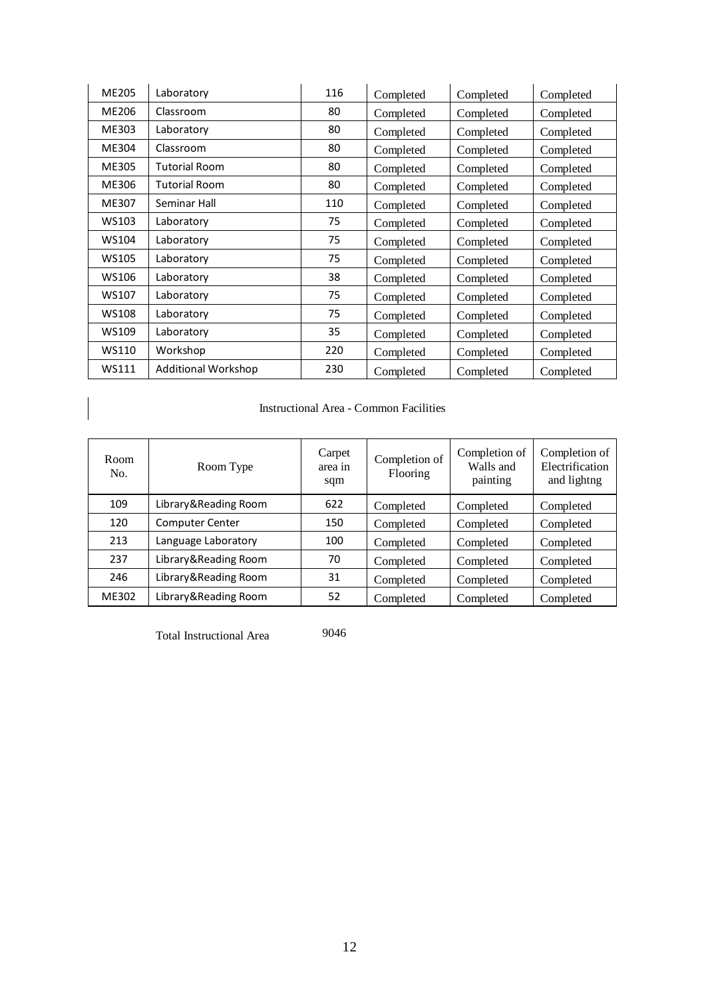| <b>ME205</b> | Laboratory                 | 116 | Completed | Completed | Completed |
|--------------|----------------------------|-----|-----------|-----------|-----------|
| ME206        | Classroom                  | 80  | Completed | Completed | Completed |
| ME303        | Laboratory                 | 80  | Completed | Completed | Completed |
| ME304        | Classroom                  | 80  | Completed | Completed | Completed |
| ME305        | <b>Tutorial Room</b>       | 80  | Completed | Completed | Completed |
| ME306        | <b>Tutorial Room</b>       | 80  | Completed | Completed | Completed |
| ME307        | Seminar Hall               | 110 | Completed | Completed | Completed |
| WS103        | Laboratory                 | 75  | Completed | Completed | Completed |
| WS104        | Laboratory                 | 75  | Completed | Completed | Completed |
| <b>WS105</b> | Laboratory                 | 75  | Completed | Completed | Completed |
| WS106        | Laboratory                 | 38  | Completed | Completed | Completed |
| WS107        | Laboratory                 | 75  | Completed | Completed | Completed |
| WS108        | Laboratory                 | 75  | Completed | Completed | Completed |
| WS109        | Laboratory                 | 35  | Completed | Completed | Completed |
| WS110        | Workshop                   | 220 | Completed | Completed | Completed |
| WS111        | <b>Additional Workshop</b> | 230 | Completed | Completed | Completed |

Instructional Area - Common Facilities

| Room<br>No. | Room Type              | Carpet<br>area in<br>sqm | Completion of<br>Flooring | Completion of<br>Walls and<br>painting | Completion of<br>Electrification<br>and lightng |
|-------------|------------------------|--------------------------|---------------------------|----------------------------------------|-------------------------------------------------|
| 109         | Library&Reading Room   | 622                      | Completed                 | Completed                              | Completed                                       |
| 120         | <b>Computer Center</b> | 150                      | Completed                 | Completed                              | Completed                                       |
| 213         | Language Laboratory    | 100                      | Completed                 | Completed                              | Completed                                       |
| 237         | Library&Reading Room   | 70                       | Completed                 | Completed                              | Completed                                       |
| 246         | Library&Reading Room   | 31                       | Completed                 | Completed                              | Completed                                       |
| ME302       | Library&Reading Room   | 52                       | Completed                 | Completed                              | Completed                                       |

Total Instructional Area 9046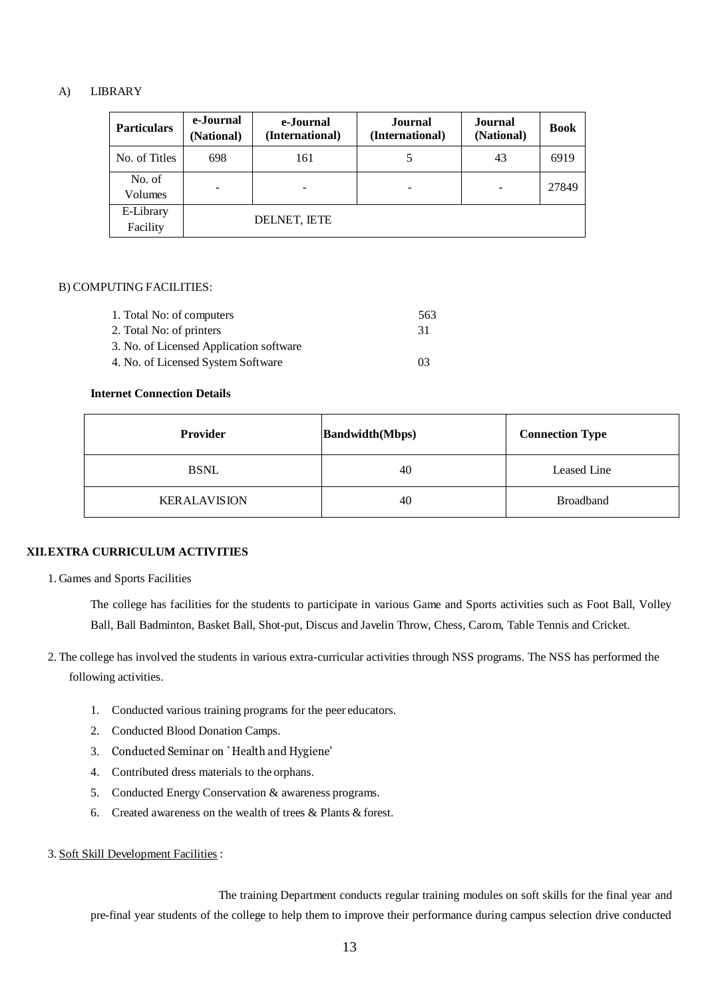#### A) LIBRARY

| <b>Particulars</b>       | e-Journal<br>(National) | e-Journal<br>(International) | Journal<br>(International) | Journal<br>(National)    | <b>Book</b> |
|--------------------------|-------------------------|------------------------------|----------------------------|--------------------------|-------------|
| No. of Titles            | 698                     | 161                          |                            | 43                       | 6919        |
| No. of<br><b>Volumes</b> |                         |                              |                            | $\overline{\phantom{0}}$ | 27849       |
| E-Library<br>Facility    | DELNET, IETE            |                              |                            |                          |             |

#### B) COMPUTING FACILITIES:

| 1. Total No: of computers               | 563 |
|-----------------------------------------|-----|
| 2. Total No: of printers                | -31 |
| 3. No. of Licensed Application software |     |
| 4. No. of Licensed System Software      | 03  |

#### **Internet Connection Details**

| <b>Provider</b>     | <b>Bandwidth</b> (Mbps) | <b>Connection Type</b> |
|---------------------|-------------------------|------------------------|
| <b>BSNL</b>         | 40                      | Leased Line            |
| <b>KERALAVISION</b> | 40                      | <b>Broadband</b>       |

#### **XII.EXTRA CURRICULUM ACTIVITIES**

1. Games and Sports Facilities

The college has facilities for the students to participate in various Game and Sports activities such as Foot Ball, Volley Ball, Ball Badminton, Basket Ball, Shot-put, Discus and Javelin Throw, Chess, Carom, Table Tennis and Cricket.

- 2. The college has involved the students in various extra-curricular activities through NSS programs. The NSS has performed the following activities.
	- 1. Conducted various training programs for the peer educators.
	- 2. Conducted Blood Donation Camps.
	- 3. Conducted Seminar on `Health and Hygiene'
	- 4. Contributed dress materials to the orphans.
	- 5. Conducted Energy Conservation & awareness programs.
	- 6. Created awareness on the wealth of trees & Plants & forest.
- 3. Soft Skill Development Facilities :

The training Department conducts regular training modules on soft skills for the final year and pre-final year students of the college to help them to improve their performance during campus selection drive conducted